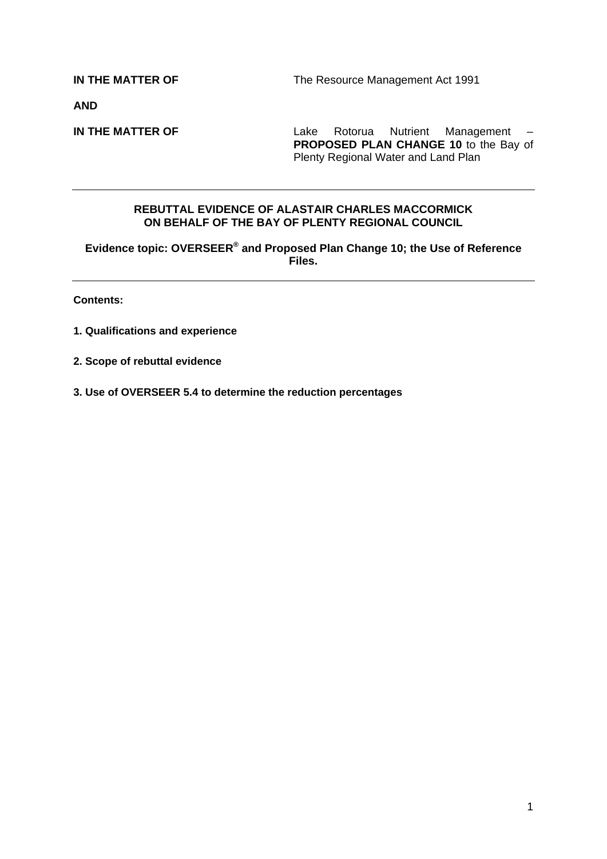**IN THE MATTER OF The Resource Management Act 1991** 

**AND** 

**IN THE MATTER OF** Lake Rotorua Nutrient Management – **PROPOSED PLAN CHANGE 10** to the Bay of Plenty Regional Water and Land Plan

## **REBUTTAL EVIDENCE OF ALASTAIR CHARLES MACCORMICK ON BEHALF OF THE BAY OF PLENTY REGIONAL COUNCIL**

**Evidence topic: OVERSEER® and Proposed Plan Change 10; the Use of Reference Files.**

**Contents:** 

- **1. Qualifications and experience**
- **2. Scope of rebuttal evidence**
- **3. Use of OVERSEER 5.4 to determine the reduction percentages**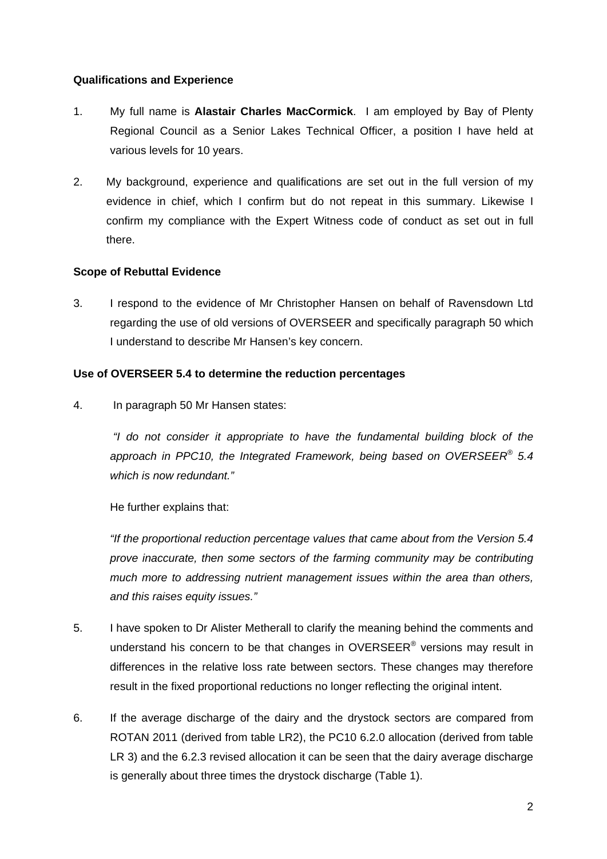## **Qualifications and Experience**

- 1. My full name is **Alastair Charles MacCormick**. I am employed by Bay of Plenty Regional Council as a Senior Lakes Technical Officer, a position I have held at various levels for 10 years.
- 2. My background, experience and qualifications are set out in the full version of my evidence in chief, which I confirm but do not repeat in this summary. Likewise I confirm my compliance with the Expert Witness code of conduct as set out in full there.

## **Scope of Rebuttal Evidence**

3. I respond to the evidence of Mr Christopher Hansen on behalf of Ravensdown Ltd regarding the use of old versions of OVERSEER and specifically paragraph 50 which I understand to describe Mr Hansen's key concern.

## **Use of OVERSEER 5.4 to determine the reduction percentages**

4. In paragraph 50 Mr Hansen states:

 *"I do not consider it appropriate to have the fundamental building block of the approach in PPC10, the Integrated Framework, being based on OVERSEER® 5.4 which is now redundant."* 

He further explains that:

*"If the proportional reduction percentage values that came about from the Version 5.4 prove inaccurate, then some sectors of the farming community may be contributing much more to addressing nutrient management issues within the area than others, and this raises equity issues."* 

- 5. I have spoken to Dr Alister Metherall to clarify the meaning behind the comments and understand his concern to be that changes in OVERSEER® versions may result in differences in the relative loss rate between sectors. These changes may therefore result in the fixed proportional reductions no longer reflecting the original intent.
- 6. If the average discharge of the dairy and the drystock sectors are compared from ROTAN 2011 (derived from table LR2), the PC10 6.2.0 allocation (derived from table LR 3) and the 6.2.3 revised allocation it can be seen that the dairy average discharge is generally about three times the drystock discharge (Table 1).